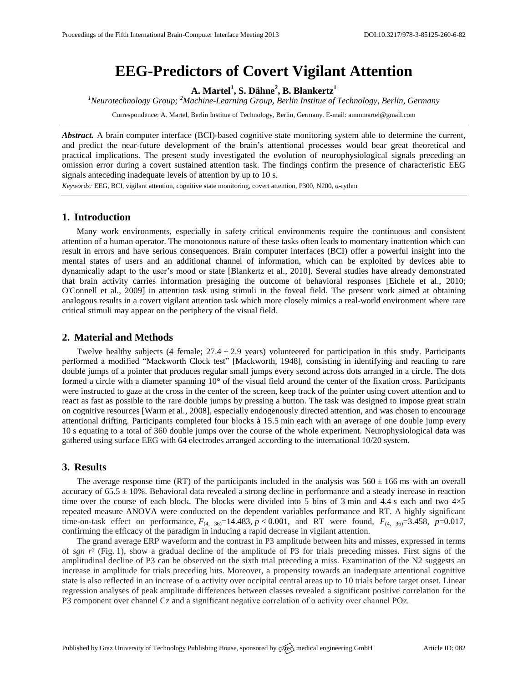# **EEG-Predictors of Covert Vigilant Attention**

**A. Martel<sup>1</sup> , S. Dähne<sup>2</sup> , B. Blankertz<sup>1</sup>**

*<sup>1</sup>Neurotechnology Group; <sup>2</sup>Machine-Learning Group, Berlin Institue of Technology, Berlin, Germany*

Correspondence: A. Martel, Berlin Institue of Technology, Berlin, Germany. E-mail[: ammmartel@gmail.com](mailto:ammmartel@gmail.com)

*Abstract.* A brain computer interface (BCI)-based cognitive state monitoring system able to determine the current, and predict the near-future development of the brain's attentional processes would bear great theoretical and practical implications. The present study investigated the evolution of neurophysiological signals preceding an omission error during a covert sustained attention task. The findings confirm the presence of characteristic EEG signals anteceding inadequate levels of attention by up to 10 s.

*Keywords:* EEG, BCI, vigilant attention, cognitive state monitoring, covert attention, P300, N200, α-rythm

# **1. Introduction**

Many work environments, especially in safety critical environments require the continuous and consistent attention of a human operator. The monotonous nature of these tasks often leads to momentary inattention which can result in errors and have serious consequences. Brain computer interfaces (BCI) offer a powerful insight into the mental states of users and an additional channel of information, which can be exploited by devices able to dynamically adapt to the user's mood or state [Blankertz et al., 2010]. Several studies have already demonstrated that brain activity carries information presaging the outcome of behavioral responses [Eichele et al., 2010; O'Connell et al., 2009] in attention task using stimuli in the foveal field. The present work aimed at obtaining analogous results in a covert vigilant attention task which more closely mimics a real-world environment where rare critical stimuli may appear on the periphery of the visual field.

# **2. Material and Methods**

Twelve healthy subjects (4 female;  $27.4 \pm 2.9$  years) volunteered for participation in this study. Participants performed a modified "Mackworth Clock test" [Mackworth, 1948], consisting in identifying and reacting to rare double jumps of a pointer that produces regular small jumps every second across dots arranged in a circle. The dots formed a circle with a diameter spanning 10° of the visual field around the center of the fixation cross. Participants were instructed to gaze at the cross in the center of the screen, keep track of the pointer using covert attention and to react as fast as possible to the rare double jumps by pressing a button. The task was designed to impose great strain on cognitive resources [Warm et al., 2008], especially endogenously directed attention, and was chosen to encourage attentional drifting. Participants completed four blocks à 15.5 min each with an average of one double jump every 10 s equating to a total of 360 double jumps over the course of the whole experiment. Neurophysiological data was gathered using surface EEG with 64 electrodes arranged according to the international 10/20 system.

### **3. Results**

The average response time (RT) of the participants included in the analysis was  $560 \pm 166$  ms with an overall accuracy of  $65.5 \pm 10\%$ . Behavioral data revealed a strong decline in performance and a steady increase in reaction time over the course of each block. The blocks were divided into 5 bins of 3 min and 4.4 s each and two  $4\times5$ repeated measure ANOVA were conducted on the dependent variables performance and RT. A highly significant time-on-task effect on performance,  $F_{(4, 36)} = 14.483$ ,  $p < 0.001$ , and RT were found,  $F_{(4, 36)} = 3.458$ ,  $p = 0.017$ , confirming the efficacy of the paradigm in inducing a rapid decrease in vigilant attention.

The grand average ERP waveform and the contrast in P3 amplitude between hits and misses, expressed in terms of *sgn r²* (Fig. 1), show a gradual decline of the amplitude of P3 for trials preceding misses. First signs of the amplitudinal decline of P3 can be observed on the sixth trial preceding a miss. Examination of the N2 suggests an increase in amplitude for trials preceding hits. Moreover, a propensity towards an inadequate attentional cognitive state is also reflected in an increase of  $\alpha$  activity over occipital central areas up to 10 trials before target onset. Linear regression analyses of peak amplitude differences between classes revealed a significant positive correlation for the P3 component over channel Cz and a significant negative correlation of α activity over channel POz.